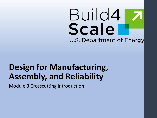# Build4 Scale U.S. Department of Energy

### **Design for Manufacturing, Assembly, and Reliability**

Module 3 Crosscutting Introduction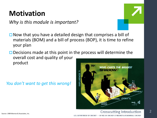### **Motivation**

*Why is this module is important?*

 $\Box$  Now that you have a detailed design that comprises a bill of materials (BOM) and a bill of process (BOP), it is time to refine your plan

 $\Box$  Decisions made at this point in the process will determine the overall cost and quality of your product

*You don't want to get this wrong!*

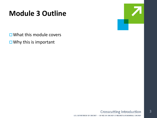### **Module 3 Outline**

**□ What this module covers** 

 $\square$  Why this is important



#### **Crosscutting Introduction** U.S. DEPARTMENT OF ENERGY . OFFICE OF ENERGY EFFICIENCY & RENEWABLE ENERGY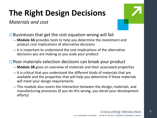# **The Right Design Decisions**

*Materials and cost*

 $\square$  Businesses that get the cost equation wrong will fail

- —**Module 3A** provides tools to help you determine the investment and product cost implications of alternative decisions
- —It is important to understand the cost implications of the alternative decisions you are making as you scale your product

□ Poor materials-selection decisions can break your product

- —**Module 3B** gives an overview of materials and their associated properties
- —It is critical that you understand the different kinds of materials that are available and the properties that will help you determine if these materials will meet your design requirements
- —This module also covers the interaction between the design, materials, and manufacturing processes (if you do this wrong, you derail your development efforts)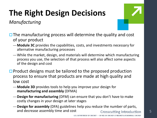# **The Right Design Decisions**

*Manufacturing*

- $\Box$  The manufacturing process will determine the quality and cost of your product
	- —**Module 3C** provides the capabilities, costs, and investments necessary for alternative manufacturing processes
	- —While the market, design, and materials will determine which manufacturing process you use, the selection of that process will also affect some aspects of the design and cost
- $\Box$  Product designs must be tailored to the proposed production process to ensure that products are made at high quality and low cost
	- —**Module 3D** provides tools to help you improve your design for **manufacturing and assembly** (DFMA)
	- —**Design for manufacturing** (DFM) can ensure that you don't have to make costly changes in your design at later stages
	- —**Design for assembly** (DFA) guidelines help you reduce the number of parts, and decrease assembly time and cost The Supersection Crosscutting Introduction 5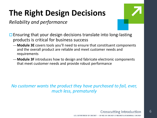# **The Right Design Decisions**

*Reliability and performance*



- $\Box$  Ensuring that your design decisions translate into long-lasting products is critical for business success
	- —**Module 3E** covers tools you'll need to ensure that constituent components and the overall product are reliable and meet customer needs and requirements
	- —**Module 3F** introduces how to design and fabricate electronic components that meet customer needs and provide robust performance

*No customer wants the product they have purchased to fail, ever, much less, prematurely*



6